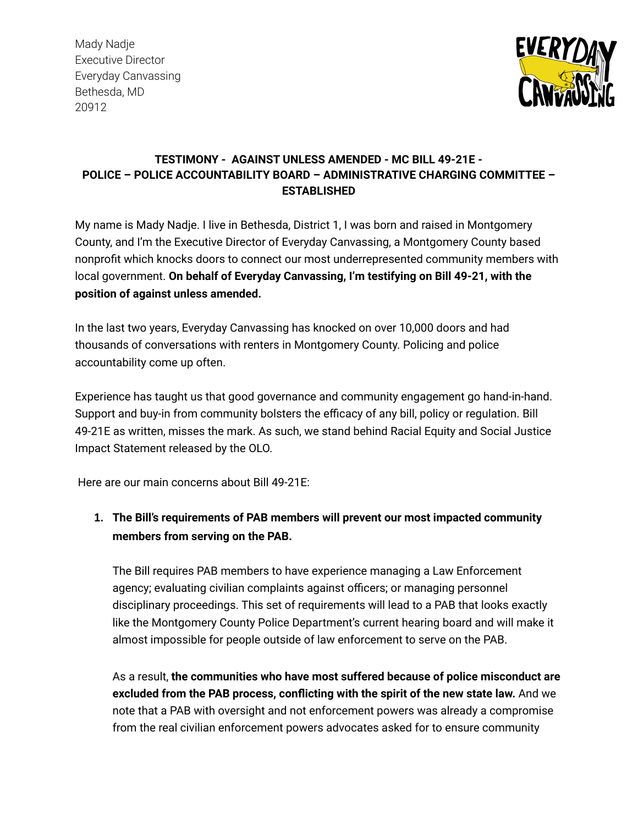Mady Nadje Executive Director Everyday Canvassing Bethesda, MD 20912



## **TESTIMONY - AGAINST UNLESS AMENDED - MC BILL 49-21E - POLICE – POLICE ACCOUNTABILITY BOARD – ADMINISTRATIVE CHARGING COMMITTEE – ESTABLISHED**

My name is Mady Nadje. I live in Bethesda, District 1, I was born and raised in Montgomery County, and I'm the Executive Director of Everyday Canvassing, a Montgomery County based nonprofit which knocks doors to connect our most underrepresented community members with local government. **On behalf of Everyday Canvassing, I'm testifying on Bill 49-21, with the position of against unless amended.**

In the last two years, Everyday Canvassing has knocked on over 10,000 doors and had thousands of conversations with renters in Montgomery County. Policing and police accountability come up often.

Experience has taught us that good governance and community engagement go hand-in-hand. Support and buy-in from community bolsters the efficacy of any bill, policy or regulation. Bill 49-21E as written, misses the mark. As such, we stand behind Racial Equity and Social Justice Impact Statement released by the OLO.

Here are our main concerns about Bill 49-21E:

## **1. The Bill's requirements of PAB members will prevent our most impacted community members from serving on the PAB.**

The Bill requires PAB members to have experience managing a Law Enforcement agency; evaluating civilian complaints against officers; or managing personnel disciplinary proceedings. This set of requirements will lead to a PAB that looks exactly like the Montgomery County Police Department's current hearing board and will make it almost impossible for people outside of law enforcement to serve on the PAB.

As a result, **the communities who have most suffered because of police misconduct are excluded from the PAB process, conflicting with the spirit of the new state law.** And we note that a PAB with oversight and not enforcement powers was already a compromise from the real civilian enforcement powers advocates asked for to ensure community